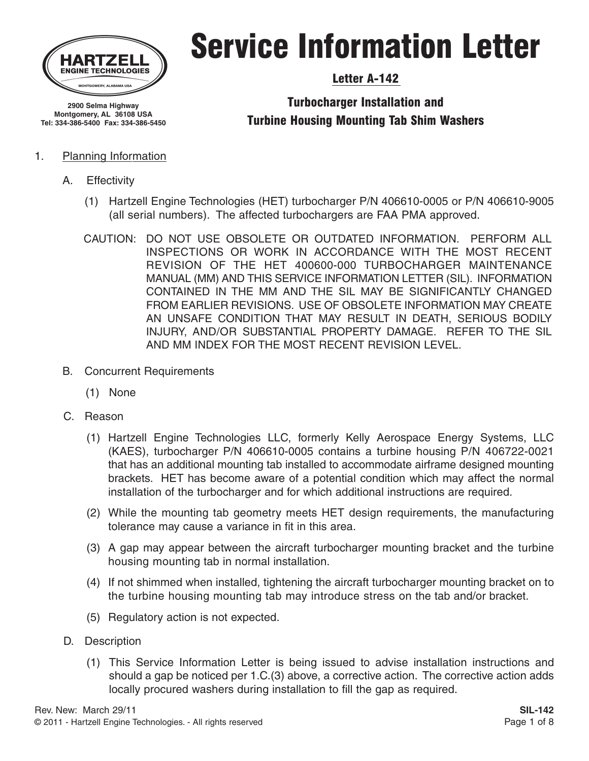

## Service Information Letter

#### Letter A-142

Turbocharger Installation and Turbine Housing Mounting Tab Shim Washers

#### 1. Planning Information

**Montgomery, AL 36108 USA Tel: 334-386-5400 Fax: 334-386-5450**

- A. Effectivity
	- (1) Hartzell Engine Technologies (HET) turbocharger P/N 406610-0005 or P/N 406610-9005 (all serial numbers). The affected turbochargers are FAA PMA approved.
	- CAUTION: DO NOT USE OBSOLETE OR OUTDATED INFORMATION. PERFORM ALL INSPECTIONS OR WORK IN ACCORDANCE WITH THE MOST RECENT REVISION OF THE HET 400600-000 TURBOCHARGER MAINTENANCE MANUAL (MM) AND THIS SERVICE INFORMATION LETTER (SIL). INFORMATION CONTAINED IN THE MM AND THE SIL MAY BE SIGNIFICANTLY CHANGED FROM EARLIER REVISIONS. USE OF OBSOLETE INFORMATION MAY CREATE AN UNSAFE CONDITION THAT MAY RESULT IN DEATH, SERIOUS BODILY INJURY, AND/OR SUBSTANTIAL PROPERTY DAMAGE. REFER TO THE SIL AND MM INDEX FOR THE MOST RECENT REVISION LEVEL.
- B. Concurrent Requirements
	- (1) None
- C. Reason
	- (1) Hartzell Engine Technologies LLC, formerly Kelly Aerospace Energy Systems, LLC (KAES), turbocharger P/N 406610-0005 contains a turbine housing P/N 406722-0021 that has an additional mounting tab installed to accommodate airframe designed mounting brackets. HET has become aware of a potential condition which may affect the normal installation of the turbocharger and for which additional instructions are required.
	- (2) While the mounting tab geometry meets HET design requirements, the manufacturing tolerance may cause a variance in fit in this area.
	- (3) A gap may appear between the aircraft turbocharger mounting bracket and the turbine housing mounting tab in normal installation.
	- (4) If not shimmed when installed, tightening the aircraft turbocharger mounting bracket on to the turbine housing mounting tab may introduce stress on the tab and/or bracket.
	- (5) Regulatory action is not expected.
- D. Description
	- (1) This Service Information Letter is being issued to advise installation instructions and should a gap be noticed per 1.C.(3) above, a corrective action. The corrective action adds locally procured washers during installation to fill the gap as required.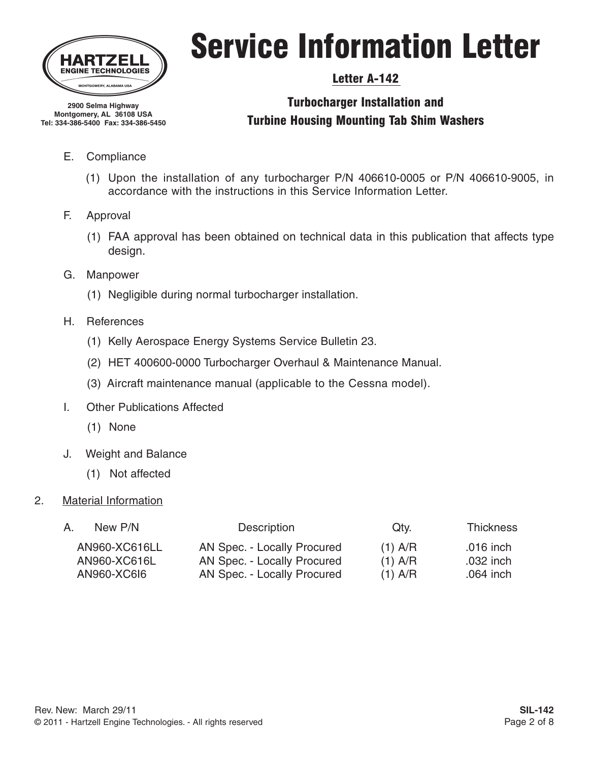

## Service Information Letter

### Letter A-142

### Turbocharger Installation and Turbine Housing Mounting Tab Shim Washers

**Montgomery, AL 36108 USA Tel: 334-386-5400 Fax: 334-386-5450**

**2900 Selma Highway**

- E. Compliance
	- (1) Upon the installation of any turbocharger P/N 406610-0005 or P/N 406610-9005, in accordance with the instructions in this Service Information Letter.
- F. Approval
	- (1) FAA approval has been obtained on technical data in this publication that affects type design.
- G. Manpower
	- (1) Negligible during normal turbocharger installation.
- H. References
	- (1) Kelly Aerospace Energy Systems Service Bulletin 23.
	- (2) HET 400600-0000 Turbocharger Overhaul & Maintenance Manual.
	- (3) Aircraft maintenance manual (applicable to the Cessna model).
- I. Other Publications Affected
	- (1) None
- J. Weight and Balance
	- (1) Not affected

#### 2. Material Information

| A. | New P/N       | <b>Description</b>          | Qty.      | <b>Thickness</b> |
|----|---------------|-----------------------------|-----------|------------------|
|    | AN960-XC616LL | AN Spec. - Locally Procured | $(1)$ A/R | .016 inch        |
|    | AN960-XC616L  | AN Spec. - Locally Procured | $(1)$ A/R | .032 inch        |
|    | AN960-XC6I6   | AN Spec. - Locally Procured | $(1)$ A/R | .064 inch        |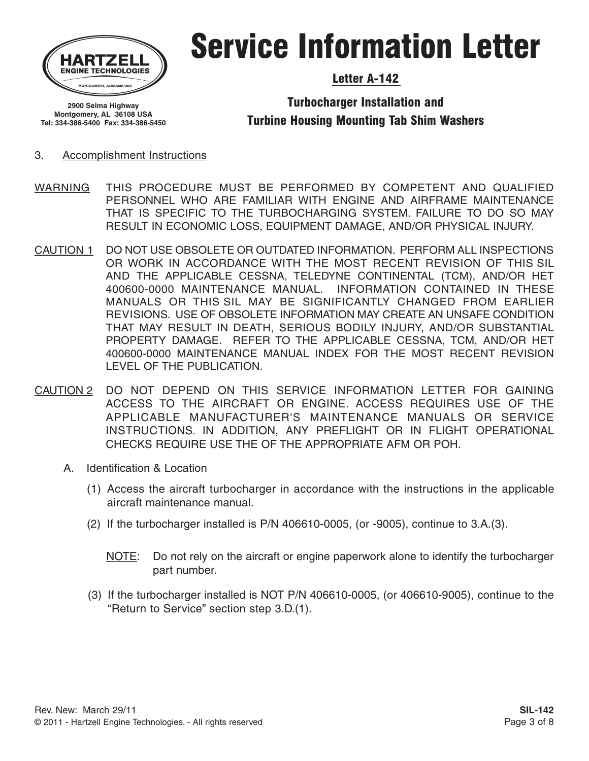

## Service Information Letter

#### Letter A-142

**2900 Selma Highway Montgomery, AL 36108 USA Tel: 334-386-5400 Fax: 334-386-5450**

#### Turbocharger Installation and Turbine Housing Mounting Tab Shim Washers

#### 3. Accomplishment Instructions

- WARNING THIS PROCEDURE MUST BE PERFORMED BY COMPETENT AND QUALIFIED PERSONNEL WHO ARE FAMILIAR WITH ENGINE AND AIRFRAME MAINTENANCE THAT IS SPECIFIC TO THE TURBOCHARGING SYSTEM. FAILURE TO DO SO MAY RESULT IN ECONOMIC LOSS, EQUIPMENT DAMAGE, AND/OR PHYSICAL INJURY.
- CAUTION 1 DO NOT USE OBSOLETE OR OUTDATED INFORMATION. PERFORM ALL INSPECTIONS OR WORK IN ACCORDANCE WITH THE MOST RECENT REVISION OF THIS SIL AND THE APPLICABLE CESSNA, TELEDYNE CONTINENTAL (TCM), AND/OR HET 400600-0000 MAINTENANCE MANUAL. INFORMATION CONTAINED IN THESE MANUALS OR THIS SIL MAY BE SIGNIFICANTLY CHANGED FROM EARLIER REVISIONS. USE OF OBSOLETE INFORMATION MAY CREATE AN UNSAFE CONDITION THAT MAY RESULT IN DEATH, SERIOUS BODILY INJURY, AND/OR SUBSTANTIAL PROPERTY DAMAGE. REFER TO THE APPLICABLE CESSNA, TCM, AND/OR HET 400600-0000 MAINTENANCE MANUAL INDEX FOR THE MOST RECENT REVISION LEVEL OF THE PUBLICATION.
- CAUTION 2 DO NOT DEPEND ON THIS SERVICE INFORMATION LETTER FOR GAINING ACCESS TO THE AIRCRAFT OR ENGINE. ACCESS REQUIRES USE OF THE APPLICABLE MANUFACTURER'S MAINTENANCE MANUALS OR SERVICE INSTRUCTIONS. IN ADDITION, ANY PREFLIGHT OR IN FLIGHT OPERATIONAL CHECKS REQUIRE USE THE OF THE APPROPRIATE AFM OR POH.
	- A. Identification & Location
		- (1) Access the aircraft turbocharger in accordance with the instructions in the applicable aircraft maintenance manual.
		- (2) If the turbocharger installed is P/N 406610-0005, (or -9005), continue to 3.A.(3).
			- NOTE: Do not rely on the aircraft or engine paperwork alone to identify the turbocharger part number.
		- (3) If the turbocharger installed is NOT P/N 406610-0005, (or 406610-9005), continue to the "Return to Service" section step 3.D.(1).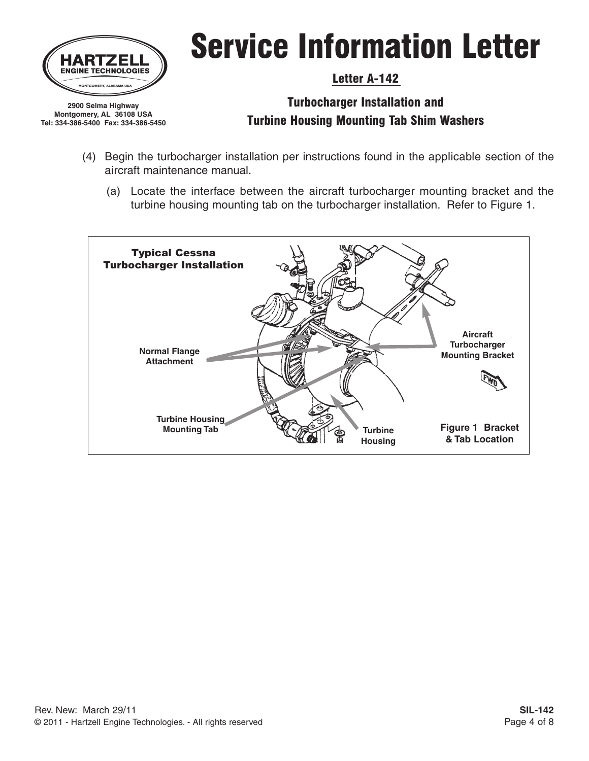

**Montgomery, AL 36108 USA Tel: 334-386-5400 Fax: 334-386-5450**

# Service Information Letter

#### Letter A-142

- (4) Begin the turbocharger installation per instructions found in the applicable section of the aircraft maintenance manual.
	- (a) Locate the interface between the aircraft turbocharger mounting bracket and the turbine housing mounting tab on the turbocharger installation. Refer to Figure 1.

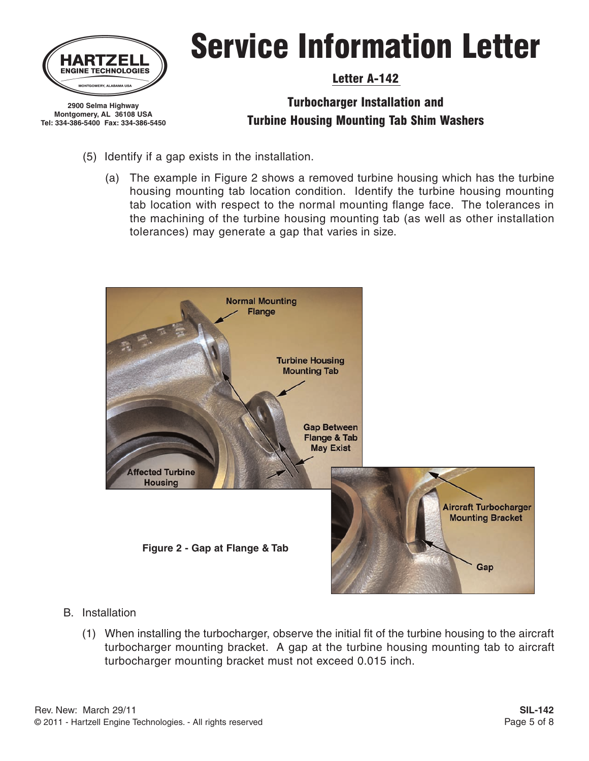

**2900 Selma Highway Montgomery, AL 36108 USA Tel: 334-386-5400 Fax: 334-386-5450**

# Service Information Letter

#### Letter A-142

- (5) Identify if a gap exists in the installation.
	- (a) The example in Figure 2 shows a removed turbine housing which has the turbine housing mounting tab location condition. Identify the turbine housing mounting tab location with respect to the normal mounting flange face. The tolerances in the machining of the turbine housing mounting tab (as well as other installation tolerances) may generate a gap that varies in size.



- B. Installation
	- (1) When installing the turbocharger, observe the initial fit of the turbine housing to the aircraft turbocharger mounting bracket. A gap at the turbine housing mounting tab to aircraft turbocharger mounting bracket must not exceed 0.015 inch.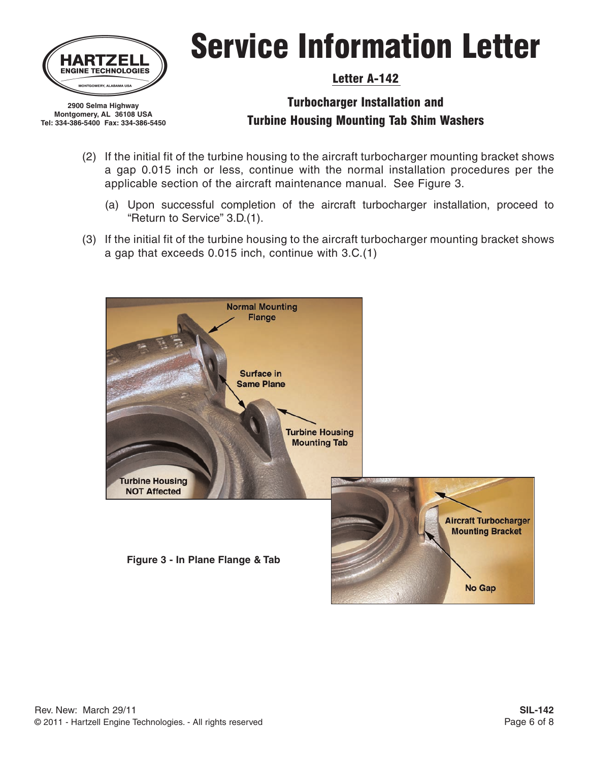

**Montgomery, AL 36108 USA Tel: 334-386-5400 Fax: 334-386-5450**

# Service Information Letter

#### Letter A-142

- (2) If the initial fit of the turbine housing to the aircraft turbocharger mounting bracket shows a gap 0.015 inch or less, continue with the normal installation procedures per the applicable section of the aircraft maintenance manual. See Figure 3.
	- (a) Upon successful completion of the aircraft turbocharger installation, proceed to "Return to Service" 3.D.(1).
- (3) If the initial fit of the turbine housing to the aircraft turbocharger mounting bracket shows a gap that exceeds 0.015 inch, continue with 3.C.(1)

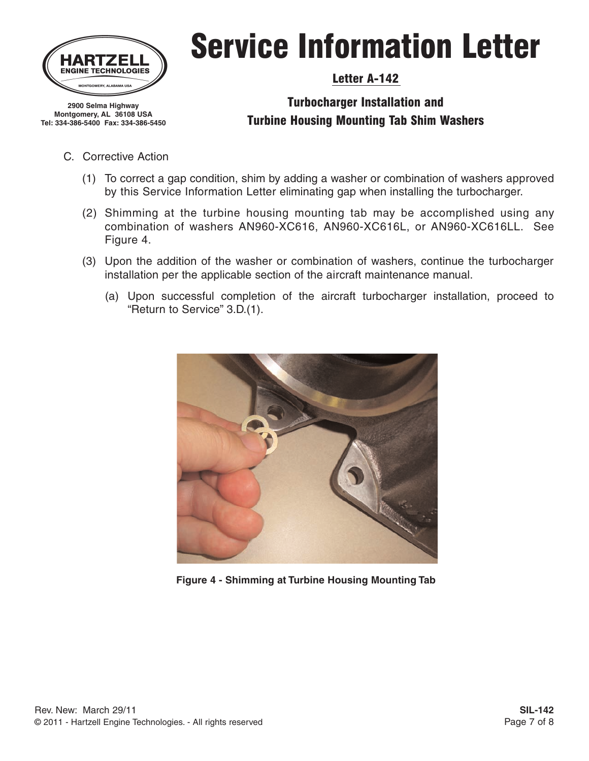

**Montgomery, AL 36108 USA Tel: 334-386-5400 Fax: 334-386-5450**

# Service Information Letter

### Letter A-142

- C. Corrective Action
	- (1) To correct a gap condition, shim by adding a washer or combination of washers approved by this Service Information Letter eliminating gap when installing the turbocharger.
	- (2) Shimming at the turbine housing mounting tab may be accomplished using any combination of washers AN960-XC616, AN960-XC616L, or AN960-XC616LL. See Figure 4.
	- (3) Upon the addition of the washer or combination of washers, continue the turbocharger installation per the applicable section of the aircraft maintenance manual.
		- (a) Upon successful completion of the aircraft turbocharger installation, proceed to "Return to Service" 3.D.(1).



**Figure 4 - Shimming at Turbine Housing Mounting Tab**